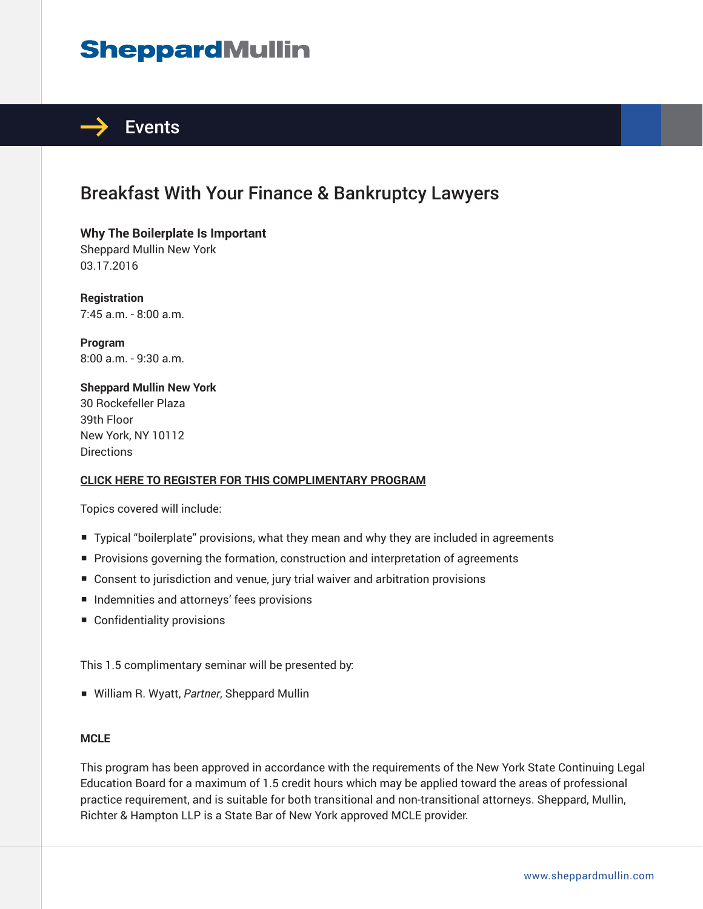# **SheppardMullin**



# Breakfast With Your Finance & Bankruptcy Lawyers

**Why The Boilerplate Is Important** Sheppard Mullin New York 03.17.2016

**Registration** 7:45 a.m. - 8:00 a.m.

**Program** 8:00 a.m. - 9:30 a.m.

**Sheppard Mullin New York** 30 Rockefeller Plaza 39th Floor New York, NY 10112 **Directions** 

#### **CLICK HERE TO REGISTER FOR THIS COMPLIMENTARY PROGRAM**

Topics covered will include:

- Typical "boilerplate" provisions, what they mean and why they are included in agreements
- Provisions governing the formation, construction and interpretation of agreements
- Consent to jurisdiction and venue, jury trial waiver and arbitration provisions
- Indemnities and attorneys' fees provisions
- Confidentiality provisions

This 1.5 complimentary seminar will be presented by:

■ William R. Wyatt, *Partner*, Sheppard Mullin

#### **MCLE**

This program has been approved in accordance with the requirements of the New York State Continuing Legal Education Board for a maximum of 1.5 credit hours which may be applied toward the areas of professional practice requirement, and is suitable for both transitional and non-transitional attorneys. Sheppard, Mullin, Richter & Hampton LLP is a State Bar of New York approved MCLE provider.